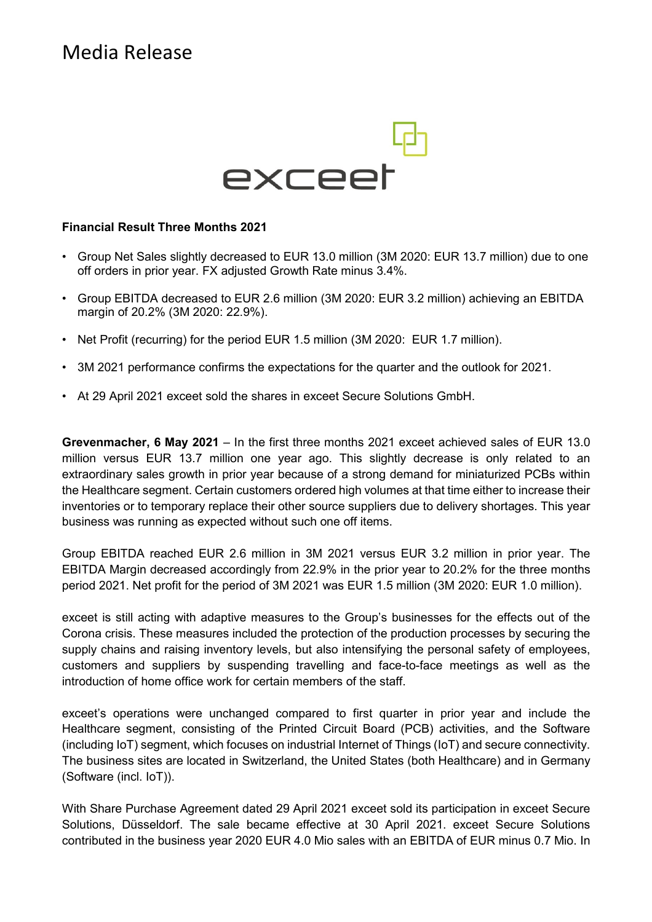# Media Release



#### **Financial Result Three Months 2021**

- Group Net Sales slightly decreased to EUR 13.0 million (3M 2020: EUR 13.7 million) due to one off orders in prior year. FX adjusted Growth Rate minus 3.4%.
- Group EBITDA decreased to EUR 2.6 million (3M 2020: EUR 3.2 million) achieving an EBITDA margin of 20.2% (3M 2020: 22.9%).
- Net Profit (recurring) for the period EUR 1.5 million (3M 2020: EUR 1.7 million).
- 3M 2021 performance confirms the expectations for the quarter and the outlook for 2021.
- At 29 April 2021 exceet sold the shares in exceet Secure Solutions GmbH.

**Grevenmacher, 6 May 2021** – In the first three months 2021 exceet achieved sales of EUR 13.0 million versus EUR 13.7 million one year ago. This slightly decrease is only related to an extraordinary sales growth in prior year because of a strong demand for miniaturized PCBs within the Healthcare segment. Certain customers ordered high volumes at that time either to increase their inventories or to temporary replace their other source suppliers due to delivery shortages. This year business was running as expected without such one off items.

Group EBITDA reached EUR 2.6 million in 3M 2021 versus EUR 3.2 million in prior year. The EBITDA Margin decreased accordingly from 22.9% in the prior year to 20.2% for the three months period 2021. Net profit for the period of 3M 2021 was EUR 1.5 million (3M 2020: EUR 1.0 million).

exceet is still acting with adaptive measures to the Group's businesses for the effects out of the Corona crisis. These measures included the protection of the production processes by securing the supply chains and raising inventory levels, but also intensifying the personal safety of employees, customers and suppliers by suspending travelling and face-to-face meetings as well as the introduction of home office work for certain members of the staff.

exceet's operations were unchanged compared to first quarter in prior year and include the Healthcare segment, consisting of the Printed Circuit Board (PCB) activities, and the Software (including IoT) segment, which focuses on industrial Internet of Things (IoT) and secure connectivity. The business sites are located in Switzerland, the United States (both Healthcare) and in Germany (Software (incl. IoT)).

With Share Purchase Agreement dated 29 April 2021 exceet sold its participation in exceet Secure Solutions, Düsseldorf. The sale became effective at 30 April 2021. exceet Secure Solutions contributed in the business year 2020 EUR 4.0 Mio sales with an EBITDA of EUR minus 0.7 Mio. In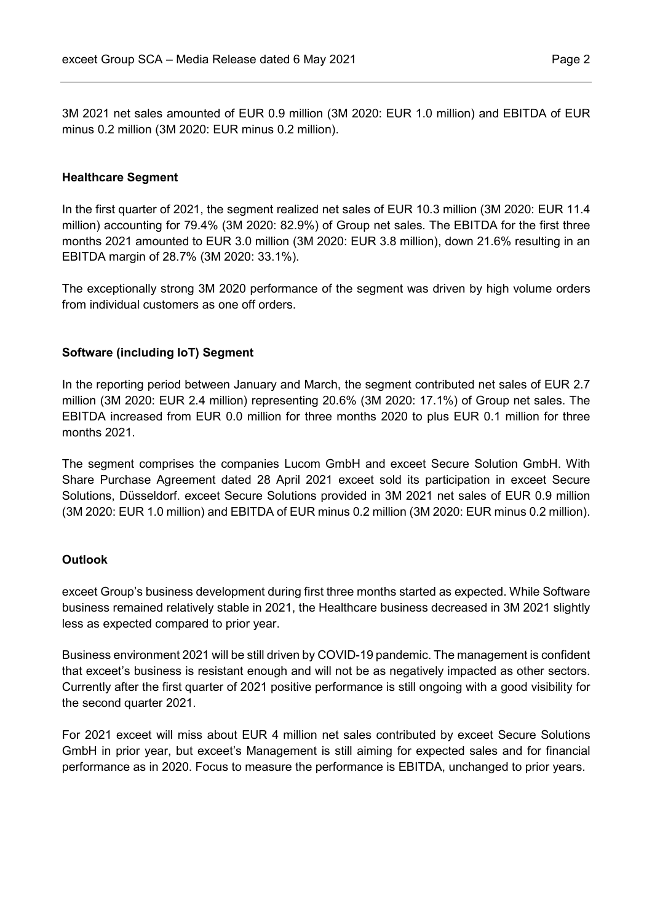3M 2021 net sales amounted of EUR 0.9 million (3M 2020: EUR 1.0 million) and EBITDA of EUR minus 0.2 million (3M 2020: EUR minus 0.2 million).

#### **Healthcare Segment**

In the first quarter of 2021, the segment realized net sales of EUR 10.3 million (3M 2020: EUR 11.4 million) accounting for 79.4% (3M 2020: 82.9%) of Group net sales. The EBITDA for the first three months 2021 amounted to EUR 3.0 million (3M 2020: EUR 3.8 million), down 21.6% resulting in an EBITDA margin of 28.7% (3M 2020: 33.1%).

The exceptionally strong 3M 2020 performance of the segment was driven by high volume orders from individual customers as one off orders.

## **Software (including IoT) Segment**

In the reporting period between January and March, the segment contributed net sales of EUR 2.7 million (3M 2020: EUR 2.4 million) representing 20.6% (3M 2020: 17.1%) of Group net sales. The EBITDA increased from EUR 0.0 million for three months 2020 to plus EUR 0.1 million for three months 2021.

The segment comprises the companies Lucom GmbH and exceet Secure Solution GmbH. With Share Purchase Agreement dated 28 April 2021 exceet sold its participation in exceet Secure Solutions, Düsseldorf. exceet Secure Solutions provided in 3M 2021 net sales of EUR 0.9 million (3M 2020: EUR 1.0 million) and EBITDA of EUR minus 0.2 million (3M 2020: EUR minus 0.2 million).

## **Outlook**

exceet Group's business development during first three months started as expected. While Software business remained relatively stable in 2021, the Healthcare business decreased in 3M 2021 slightly less as expected compared to prior year.

Business environment 2021 will be still driven by COVID-19 pandemic. The management is confident that exceet's business is resistant enough and will not be as negatively impacted as other sectors. Currently after the first quarter of 2021 positive performance is still ongoing with a good visibility for the second quarter 2021.

For 2021 exceet will miss about EUR 4 million net sales contributed by exceet Secure Solutions GmbH in prior year, but exceet's Management is still aiming for expected sales and for financial performance as in 2020. Focus to measure the performance is EBITDA, unchanged to prior years.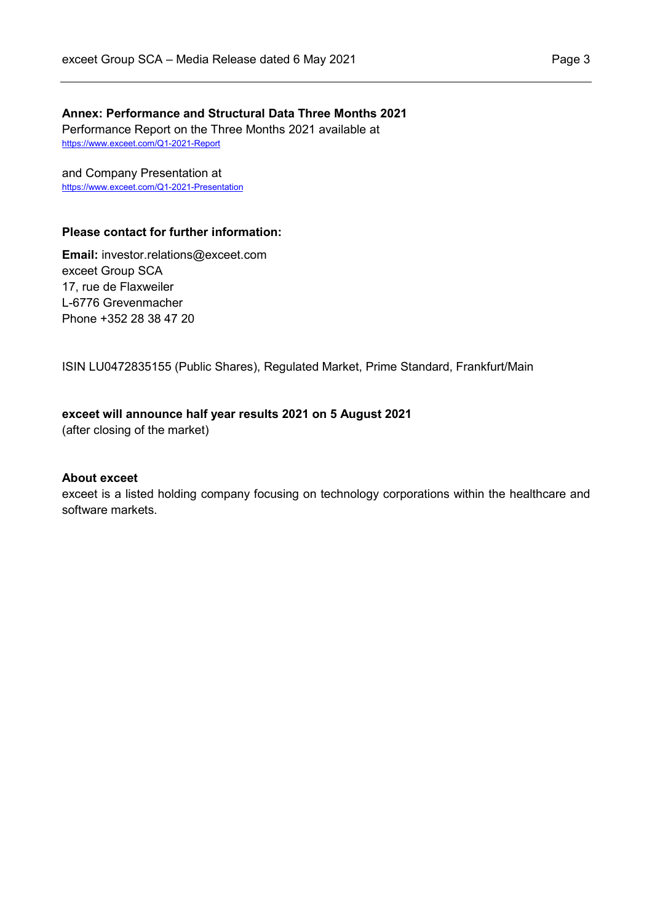# **Annex: Performance and Structural Data Three Months 2021**

Performance Report on the Three Months 2021 available at https://www.exceet.com/Q1-2021-Report

and Company Presentation at https://www.exceet.com/Q1-2021-Presentation

#### **Please contact for further information:**

**Email:** investor.relations@exceet.com exceet Group SCA 17, rue de Flaxweiler L-6776 Grevenmacher Phone +352 28 38 47 20

ISIN LU0472835155 (Public Shares), Regulated Market, Prime Standard, Frankfurt/Main

## **exceet will announce half year results 2021 on 5 August 2021**

(after closing of the market)

#### **About exceet**

exceet is a listed holding company focusing on technology corporations within the healthcare and software markets.